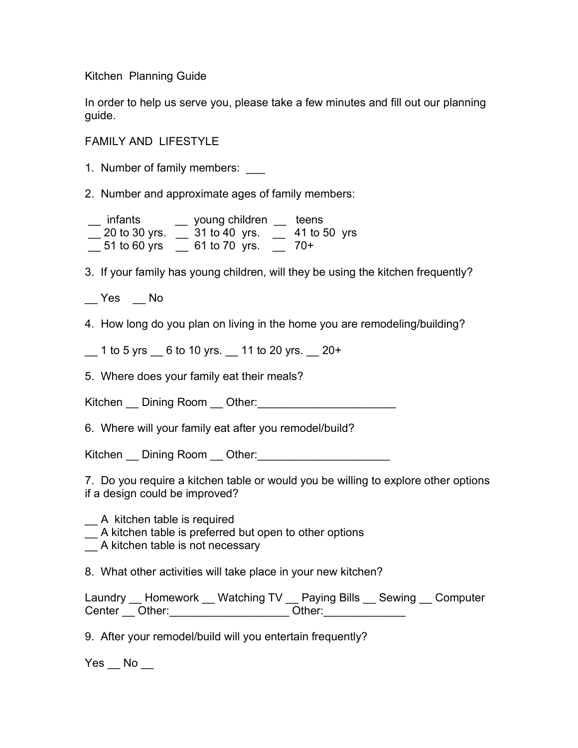Kitchen Planning Guide

In order to help us serve you, please take a few minutes and fill out our planning guide.

FAMILY AND LIFESTYLE

1. Number of family members:

2. Number and approximate ages of family members:

 \_\_ infants \_\_ young children \_\_ teens  $\frac{20 \text{ to } 30 \text{ yrs.}}{20 \text{ to } 30 \text{ yrs.}} = 31 \text{ to } 40 \text{ yrs.}$   $\frac{20 \text{ yrs}}{20 \text{ yrs.}}$ \_\_ 51 to 60 yrs \_\_ 61 to 70 yrs. \_\_ 70+

3. If your family has young children, will they be using the kitchen frequently?

\_\_ Yes \_\_ No

4. How long do you plan on living in the home you are remodeling/building?

 $1$  to 5 yrs  $\phantom{0}6$  to 10 yrs.  $\phantom{0}11$  to 20 yrs.  $\phantom{0}20+$ 

5. Where does your family eat their meals?

Kitchen \_\_ Dining Room \_\_ Other:\_\_\_\_\_\_\_\_\_\_\_\_\_\_\_\_\_\_\_\_\_\_

6. Where will your family eat after you remodel/build?

Kitchen \_\_ Dining Room \_\_ Other:\_\_\_\_\_\_\_\_\_\_\_\_\_\_\_\_\_\_\_\_\_

7. Do you require a kitchen table or would you be willing to explore other options if a design could be improved?

- \_\_ A kitchen table is required
- $\equiv$  A kitchen table is preferred but open to other options
- \_\_ A kitchen table is not necessary

8. What other activities will take place in your new kitchen?

|               | Laundry __ Homework __ Watching TV __ Paying Bills __ Sewing __ Computer |        |  |
|---------------|--------------------------------------------------------------------------|--------|--|
| Center Other: |                                                                          | Other: |  |

9. After your remodel/build will you entertain frequently?

 $Yes$   $No$   $\_\_$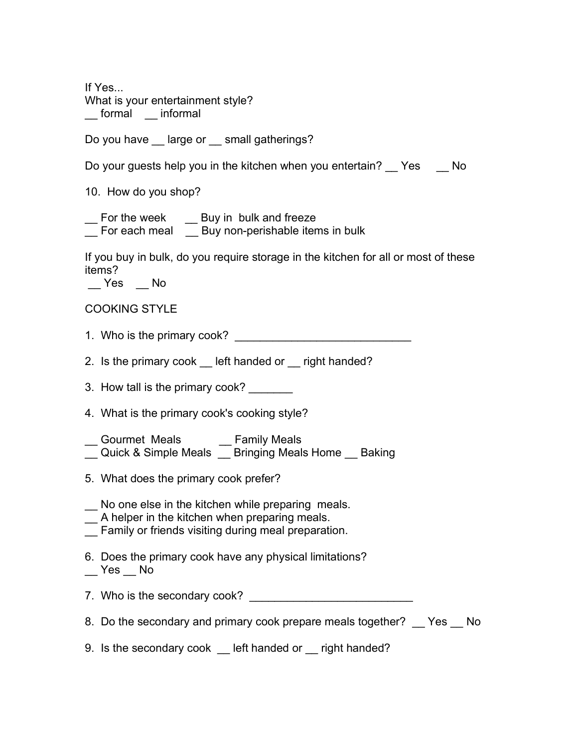If Yes... What is your entertainment style? \_\_ formal \_\_ informal

Do you have \_\_ large or \_\_ small gatherings?

Do your guests help you in the kitchen when you entertain? Yes No

10. How do you shop?

\_\_ For the week \_\_\_ Buy in bulk and freeze

\_\_ For each meal \_\_ Buy non-perishable items in bulk

If you buy in bulk, do you require storage in the kitchen for all or most of these items?

\_\_ Yes \_\_ No

## COOKING STYLE

- 1. Who is the primary cook? \_\_\_\_\_\_\_\_\_\_\_\_\_\_\_\_\_\_\_\_\_\_\_\_\_\_\_\_
- 2. Is the primary cook Left handed or Legipt handed?
- 3. How tall is the primary cook?
- 4. What is the primary cook's cooking style?
- Gourmet Meals **Family Meals** \_\_ Quick & Simple Meals \_\_ Bringing Meals Home \_\_ Baking
- 5. What does the primary cook prefer?
- \_\_ No one else in the kitchen while preparing meals.
- \_\_ A helper in the kitchen when preparing meals.
- \_\_ Family or friends visiting during meal preparation.
- 6. Does the primary cook have any physical limitations?  $\mathsf{\_}$  Yes  $\mathsf{\_}$  No
- 7. Who is the secondary cook? \_\_\_\_\_\_\_\_\_\_\_\_\_\_\_\_\_\_\_\_\_\_\_\_\_\_
- 8. Do the secondary and primary cook prepare meals together? Yes No
- 9. Is the secondary cook left handed or right handed?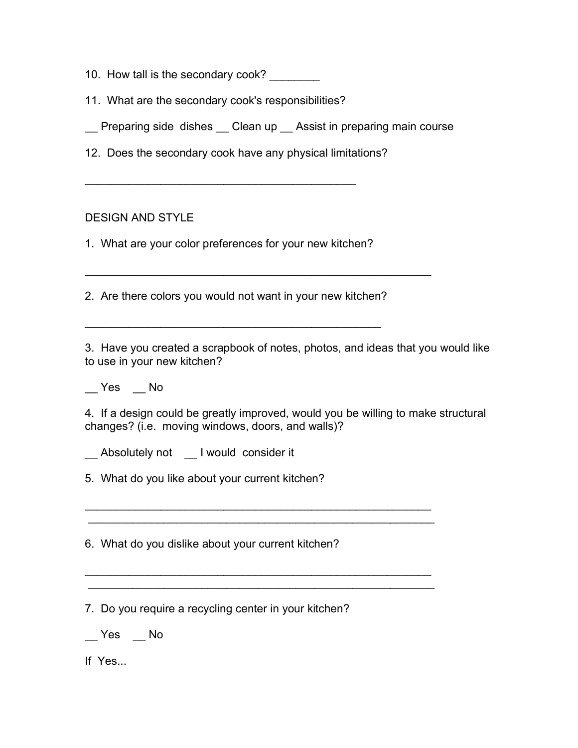- 10. How tall is the secondary cook?
- 11. What are the secondary cook's responsibilities?
- \_\_ Preparing side dishes \_\_ Clean up \_\_ Assist in preparing main course
- 12. Does the secondary cook have any physical limitations?

 $\mathcal{L}_\text{max}$  and  $\mathcal{L}_\text{max}$  and  $\mathcal{L}_\text{max}$  and  $\mathcal{L}_\text{max}$ 

## DESIGN AND STYLE

1. What are your color preferences for your new kitchen?

2. Are there colors you would not want in your new kitchen?

\_\_\_\_\_\_\_\_\_\_\_\_\_\_\_\_\_\_\_\_\_\_\_\_\_\_\_\_\_\_\_\_\_\_\_\_\_\_\_\_\_\_\_\_\_\_\_

3. Have you created a scrapbook of notes, photos, and ideas that you would like to use in your new kitchen?

 $\overline{\phantom{a}}$  , and the contract of the contract of the contract of the contract of the contract of the contract of the contract of the contract of the contract of the contract of the contract of the contract of the contrac

\_\_ Yes \_\_ No

4. If a design could be greatly improved, would you be willing to make structural changes? (i.e. moving windows, doors, and walls)?

 $\mathcal{L}_\text{max} = \mathcal{L}_\text{max} = \mathcal{L}_\text{max} = \mathcal{L}_\text{max} = \mathcal{L}_\text{max} = \mathcal{L}_\text{max} = \mathcal{L}_\text{max} = \mathcal{L}_\text{max} = \mathcal{L}_\text{max} = \mathcal{L}_\text{max} = \mathcal{L}_\text{max} = \mathcal{L}_\text{max} = \mathcal{L}_\text{max} = \mathcal{L}_\text{max} = \mathcal{L}_\text{max} = \mathcal{L}_\text{max} = \mathcal{L}_\text{max} = \mathcal{L}_\text{max} = \mathcal{$ \_\_\_\_\_\_\_\_\_\_\_\_\_\_\_\_\_\_\_\_\_\_\_\_\_\_\_\_\_\_\_\_\_\_\_\_\_\_\_\_\_\_\_\_\_\_\_\_\_\_\_\_\_\_\_

 $\mathcal{L}_\text{max} = \mathcal{L}_\text{max} = \mathcal{L}_\text{max} = \mathcal{L}_\text{max} = \mathcal{L}_\text{max} = \mathcal{L}_\text{max} = \mathcal{L}_\text{max} = \mathcal{L}_\text{max} = \mathcal{L}_\text{max} = \mathcal{L}_\text{max} = \mathcal{L}_\text{max} = \mathcal{L}_\text{max} = \mathcal{L}_\text{max} = \mathcal{L}_\text{max} = \mathcal{L}_\text{max} = \mathcal{L}_\text{max} = \mathcal{L}_\text{max} = \mathcal{L}_\text{max} = \mathcal{$ \_\_\_\_\_\_\_\_\_\_\_\_\_\_\_\_\_\_\_\_\_\_\_\_\_\_\_\_\_\_\_\_\_\_\_\_\_\_\_\_\_\_\_\_\_\_\_\_\_\_\_\_\_\_\_

\_\_ Absolutely not \_\_ I would consider it

5. What do you like about your current kitchen?

6. What do you dislike about your current kitchen?

7. Do you require a recycling center in your kitchen?

\_\_ Yes \_\_ No

If Yes...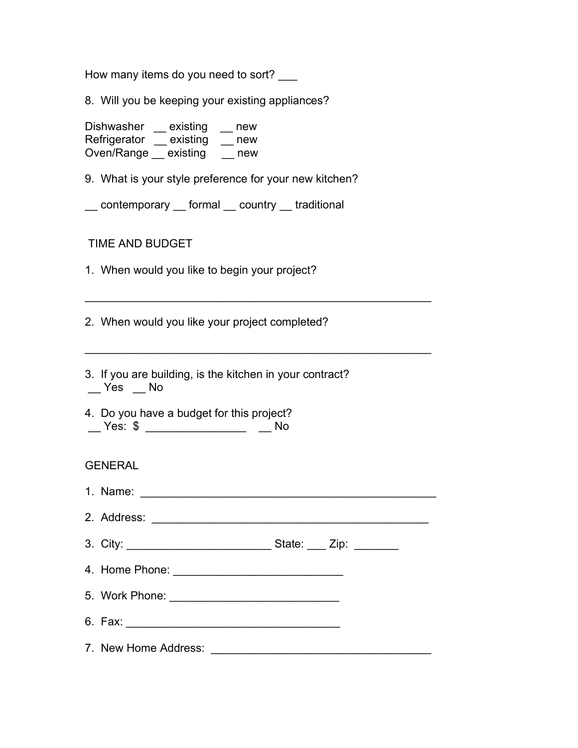How many items do you need to sort?

8. Will you be keeping your existing appliances?

Dishwasher \_ existing \_ new Refrigerator \_\_ existing \_\_ new Oven/Range existing comew

9. What is your style preference for your new kitchen?

\_\_ contemporary \_\_ formal \_\_ country \_\_ traditional

TIME AND BUDGET

1. When would you like to begin your project?

2. When would you like your project completed?

- 3. If you are building, is the kitchen in your contract? \_\_ Yes \_\_ No
- 4. Do you have a budget for this project? \_\_ Yes: \$ \_\_\_\_\_\_\_\_\_\_\_\_\_\_\_\_ \_\_ No

## GENERAL

| 1. Name: |  |
|----------|--|
|          |  |

 $\mathcal{L}_\text{max} = \mathcal{L}_\text{max} = \mathcal{L}_\text{max} = \mathcal{L}_\text{max} = \mathcal{L}_\text{max} = \mathcal{L}_\text{max} = \mathcal{L}_\text{max} = \mathcal{L}_\text{max} = \mathcal{L}_\text{max} = \mathcal{L}_\text{max} = \mathcal{L}_\text{max} = \mathcal{L}_\text{max} = \mathcal{L}_\text{max} = \mathcal{L}_\text{max} = \mathcal{L}_\text{max} = \mathcal{L}_\text{max} = \mathcal{L}_\text{max} = \mathcal{L}_\text{max} = \mathcal{$ 

 $\mathcal{L}_\text{max} = \mathcal{L}_\text{max} = \mathcal{L}_\text{max} = \mathcal{L}_\text{max} = \mathcal{L}_\text{max} = \mathcal{L}_\text{max} = \mathcal{L}_\text{max} = \mathcal{L}_\text{max} = \mathcal{L}_\text{max} = \mathcal{L}_\text{max} = \mathcal{L}_\text{max} = \mathcal{L}_\text{max} = \mathcal{L}_\text{max} = \mathcal{L}_\text{max} = \mathcal{L}_\text{max} = \mathcal{L}_\text{max} = \mathcal{L}_\text{max} = \mathcal{L}_\text{max} = \mathcal{$ 

| 2. Address: |  |
|-------------|--|
|             |  |

3. City: \_\_\_\_\_\_\_\_\_\_\_\_\_\_\_\_\_\_\_\_\_\_\_ State: \_\_\_ Zip: \_\_\_\_\_\_\_

4. Home Phone:  $\blacksquare$ 

5. Work Phone: \_\_\_\_\_\_\_\_\_\_\_\_\_\_\_\_\_\_\_\_\_\_\_\_\_\_\_

- 6. Fax: \_\_\_\_\_\_\_\_\_\_\_\_\_\_\_\_\_\_\_\_\_\_\_\_\_\_\_\_\_\_\_\_\_\_
- 7. New Home Address: \_\_\_\_\_\_\_\_\_\_\_\_\_\_\_\_\_\_\_\_\_\_\_\_\_\_\_\_\_\_\_\_\_\_\_